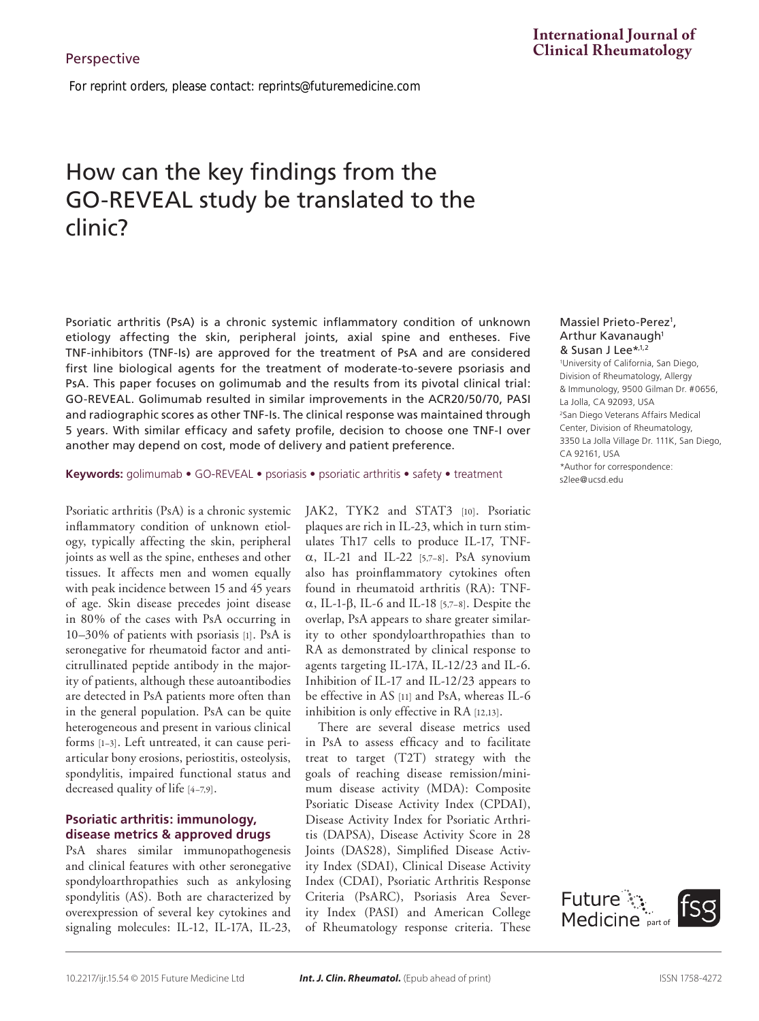*For reprint orders, please contact: reprints@futuremedicine.com*

# How can the key findings from the GO-REVEAL study be translated to the clinic?

Psoriatic arthritis (PsA) is a chronic systemic inflammatory condition of unknown etiology affecting the skin, peripheral joints, axial spine and entheses. Five TNF-inhibitors (TNF-Is) are approved for the treatment of PsA and are considered first line biological agents for the treatment of moderate-to-severe psoriasis and PsA. This paper focuses on golimumab and the results from its pivotal clinical trial: GO-REVEAL. Golimumab resulted in similar improvements in the ACR20/50/70, PASI and radiographic scores as other TNF-Is. The clinical response was maintained through 5 years. With similar efficacy and safety profile, decision to choose one TNF-I over another may depend on cost, mode of delivery and patient preference.

**Keywords:** golimumab • GO-REVEAL • psoriasis • psoriatic arthritis • safety • treatment

Psoriatic arthritis (PsA) is a chronic systemic inflammatory condition of unknown etiology, typically affecting the skin, peripheral joints as well as the spine, entheses and other tissues. It affects men and women equally with peak incidence between 15 and 45 years of age. Skin disease precedes joint disease in 80% of the cases with PsA occurring in 10–30% of patients with psoriasis [1]. PsA is seronegative for rheumatoid factor and anticitrullinated peptide antibody in the majority of patients, although these autoantibodies are detected in PsA patients more often than in the general population. PsA can be quite heterogeneous and present in various clinical forms [1–3]. Left untreated, it can cause periarticular bony erosions, periostitis, osteolysis, spondylitis, impaired functional status and decreased quality of life [4–7,9].

## **Psoriatic arthritis: immunology, disease metrics & approved drugs**

PsA shares similar immunopathogenesis and clinical features with other seronegative spondyloarthropathies such as ankylosing spondylitis (AS). Both are characterized by overexpression of several key cytokines and signaling molecules: IL-12, IL-17A, IL-23,

JAK2, TYK2 and STAT3 [10]. Psoriatic plaques are rich in IL-23, which in turn stimulates Th17 cells to produce IL-17, TNFα, IL-21 and IL-22 [5,7–8]. PsA synovium also has proinflammatory cytokines often found in rheumatoid arthritis (RA): TNFα, IL-1-β, IL-6 and IL-18 [5,7–8]. Despite the overlap, PsA appears to share greater similarity to other spondyloarthropathies than to RA as demonstrated by clinical response to agents targeting IL-17A, IL-12/23 and IL-6. Inhibition of IL-17 and IL-12/23 appears to be effective in AS [11] and PsA, whereas IL-6 inhibition is only effective in RA [12,13].

There are several disease metrics used in PsA to assess efficacy and to facilitate treat to target (T2T) strategy with the goals of reaching disease remission/minimum disease activity (MDA): Composite Psoriatic Disease Activity Index (CPDAI), Disease Activity Index for Psoriatic Arthritis (DAPSA), Disease Activity Score in 28 Joints (DAS28), Simplified Disease Activity Index (SDAI), Clinical Disease Activity Index (CDAI), Psoriatic Arthritis Response Criteria (PsARC), Psoriasis Area Severity Index (PASI) and American College of Rheumatology response criteria. These

## **International Journal of Clinical Rheumatology**

Massiel Prieto-Perez<sup>1</sup>, Arthur Kavanaugh<sup>1</sup> & Susan J Lee\*,1,2

1 University of California, San Diego, Division of Rheumatology, Allergy & Immunology, 9500 Gilman Dr. #0656, La Jolla, CA 92093, USA 2 San Diego Veterans Affairs Medical Center, Division of Rheumatology, 3350 La Jolla Village Dr. 111K, San Diego, CA 92161, USA \*Author for correspondence: s2lee@ucsd.edu

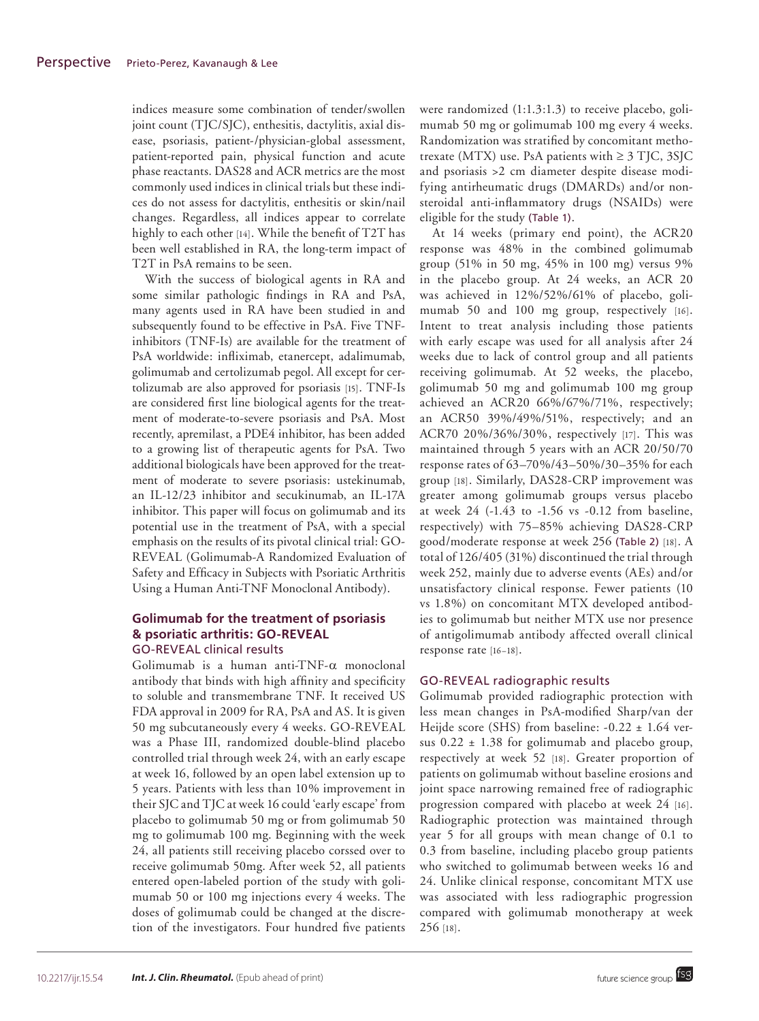indices measure some combination of tender/swollen joint count (TJC/SJC), enthesitis, dactylitis, axial disease, psoriasis, patient-/physician-global assessment, patient-reported pain, physical function and acute phase reactants. DAS28 and ACR metrics are the most commonly used indices in clinical trials but these indices do not assess for dactylitis, enthesitis or skin/nail changes. Regardless, all indices appear to correlate highly to each other [14]. While the benefit of T2T has been well established in RA, the long-term impact of T2T in PsA remains to be seen.

With the success of biological agents in RA and some similar pathologic findings in RA and PsA, many agents used in RA have been studied in and subsequently found to be effective in PsA. Five TNFinhibitors (TNF-Is) are available for the treatment of PsA worldwide: infliximab, etanercept, adalimumab, golimumab and certolizumab pegol. All except for certolizumab are also approved for psoriasis [15]. TNF-Is are considered first line biological agents for the treatment of moderate-to-severe psoriasis and PsA. Most recently, apremilast, a PDE4 inhibitor, has been added to a growing list of therapeutic agents for PsA. Two additional biologicals have been approved for the treatment of moderate to severe psoriasis: ustekinumab, an IL-12/23 inhibitor and secukinumab, an IL-17A inhibitor. This paper will focus on golimumab and its potential use in the treatment of PsA, with a special emphasis on the results of its pivotal clinical trial: GO-REVEAL (Golimumab-A Randomized Evaluation of Safety and Efficacy in Subjects with Psoriatic Arthritis Using a Human Anti-TNF Monoclonal Antibody).

## **Golimumab for the treatment of psoriasis & psoriatic arthritis: GO-REVEAL** GO-REVEAL clinical results

Golimumab is a human anti-TNF-α monoclonal antibody that binds with high affinity and specificity to soluble and transmembrane TNF. It received US FDA approval in 2009 for RA, PsA and AS. It is given 50 mg subcutaneously every 4 weeks. GO-REVEAL was a Phase III, randomized double-blind placebo controlled trial through week 24, with an early escape at week 16, followed by an open label extension up to 5 years. Patients with less than 10% improvement in their SJC and TJC at week 16 could 'early escape' from placebo to golimumab 50 mg or from golimumab 50 mg to golimumab 100 mg. Beginning with the week 24, all patients still receiving placebo corssed over to receive golimumab 50mg. After week 52, all patients entered open-labeled portion of the study with golimumab 50 or 100 mg injections every 4 weeks. The doses of golimumab could be changed at the discretion of the investigators. Four hundred five patients

were randomized (1:1.3:1.3) to receive placebo, golimumab 50 mg or golimumab 100 mg every 4 weeks. Randomization was stratified by concomitant methotrexate (MTX) use. PsA patients with  $\geq$  3 TJC, 3SJC and psoriasis >2 cm diameter despite disease modifying antirheumatic drugs (DMARDs) and/or nonsteroidal anti-inflammatory drugs (NSAIDs) were eligible for the study (Table 1).

At 14 weeks (primary end point), the ACR20 response was 48% in the combined golimumab group (51% in 50 mg, 45% in 100 mg) versus 9% in the placebo group. At 24 weeks, an ACR 20 was achieved in 12%/52%/61% of placebo, golimumab 50 and 100 mg group, respectively [16]. Intent to treat analysis including those patients with early escape was used for all analysis after 24 weeks due to lack of control group and all patients receiving golimumab. At 52 weeks, the placebo, golimumab 50 mg and golimumab 100 mg group achieved an ACR20 66%/67%/71%, respectively; an ACR50 39%/49%/51%, respectively; and an ACR70 20%/36%/30%, respectively [17]. This was maintained through 5 years with an ACR 20/50/70 response rates of 63–70%/43–50%/30–35% for each group [18]. Similarly, DAS28-CRP improvement was greater among golimumab groups versus placebo at week 24 (-1.43 to -1.56 vs -0.12 from baseline, respectively) with 75–85% achieving DAS28-CRP good/moderate response at week 256 (Table 2) [18]. A total of 126/405 (31%) discontinued the trial through week 252, mainly due to adverse events (AEs) and/or unsatisfactory clinical response. Fewer patients (10 vs 1.8%) on concomitant MTX developed antibodies to golimumab but neither MTX use nor presence of antigolimumab antibody affected overall clinical response rate [16–18].

## GO-REVEAL radiographic results

Golimumab provided radiographic protection with less mean changes in PsA-modified Sharp/van der Heijde score (SHS) from baseline: -0.22 ± 1.64 versus  $0.22 \pm 1.38$  for golimumab and placebo group, respectively at week 52 [18]. Greater proportion of patients on golimumab without baseline erosions and joint space narrowing remained free of radiographic progression compared with placebo at week 24 [16]. Radiographic protection was maintained through year 5 for all groups with mean change of 0.1 to 0.3 from baseline, including placebo group patients who switched to golimumab between weeks 16 and 24. Unlike clinical response, concomitant MTX use was associated with less radiographic progression compared with golimumab monotherapy at week 256 [18].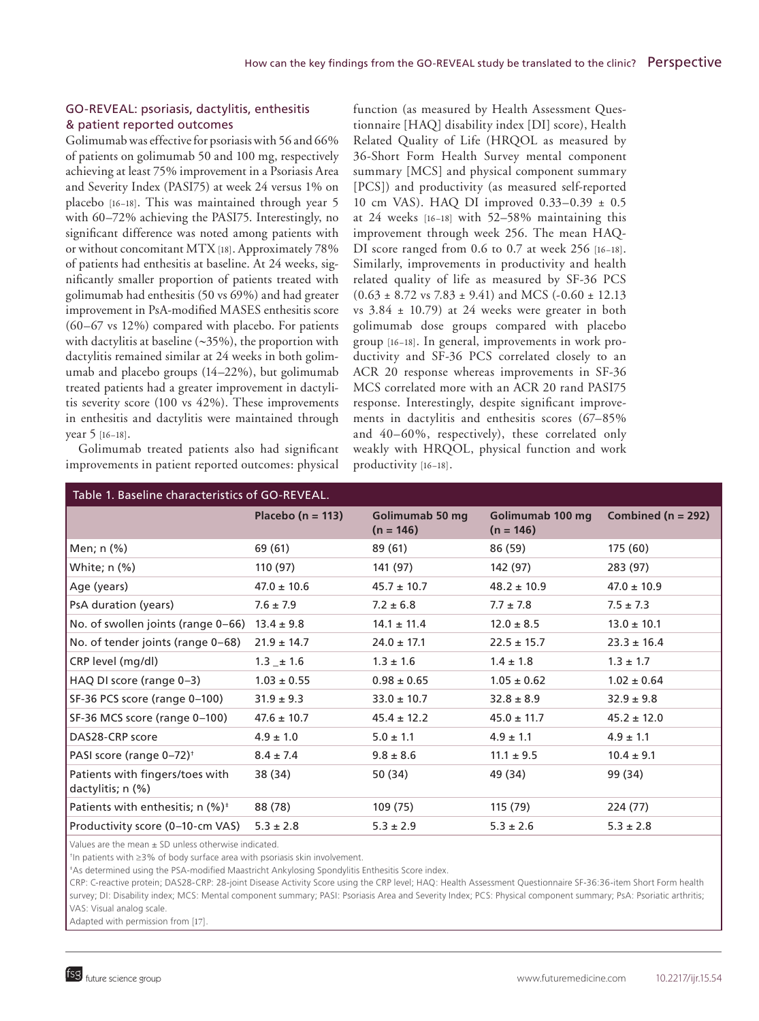## GO-REVEAL: psoriasis, dactylitis, enthesitis & patient reported outcomes

Golimumab was effective for psoriasis with 56 and 66% of patients on golimumab 50 and 100 mg, respectively achieving at least 75% improvement in a Psoriasis Area and Severity Index (PASI75) at week 24 versus 1% on placebo [16–18]. This was maintained through year 5 with 60–72% achieving the PASI75. Interestingly, no significant difference was noted among patients with or without concomitant MTX [18]. Approximately 78% of patients had enthesitis at baseline. At 24 weeks, significantly smaller proportion of patients treated with golimumab had enthesitis (50 vs 69%) and had greater improvement in PsA-modified MASES enthesitis score (60–67 vs 12%) compared with placebo. For patients with dactylitis at baseline (∼35%), the proportion with dactylitis remained similar at 24 weeks in both golimumab and placebo groups (14–22%), but golimumab treated patients had a greater improvement in dactylitis severity score (100 vs 42%). These improvements in enthesitis and dactylitis were maintained through year 5 [16–18].

Golimumab treated patients also had significant improvements in patient reported outcomes: physical

function (as measured by Health Assessment Questionnaire [HAQ] disability index [DI] score), Health Related Quality of Life (HRQOL as measured by 36-Short Form Health Survey mental component summary [MCS] and physical component summary [PCS]) and productivity (as measured self-reported 10 cm VAS). HAQ DI improved 0.33–0.39 ± 0.5 at 24 weeks [16–18] with 52–58% maintaining this improvement through week 256. The mean HAQ-DI score ranged from 0.6 to 0.7 at week 256 [16-18]. Similarly, improvements in productivity and health related quality of life as measured by SF-36 PCS  $(0.63 \pm 8.72 \text{ vs } 7.83 \pm 9.41)$  and MCS (-0.60  $\pm$  12.13 vs  $3.84 \pm 10.79$ ) at 24 weeks were greater in both golimumab dose groups compared with placebo group [16–18]. In general, improvements in work productivity and SF-36 PCS correlated closely to an ACR 20 response whereas improvements in SF-36 MCS correlated more with an ACR 20 rand PASI75 response. Interestingly, despite significant improvements in dactylitis and enthesitis scores (67–85% and 40–60%, respectively), these correlated only weakly with HRQOL, physical function and work productivity [16–18].

| Table 1. Baseline characteristics of GO-REVEAL.               |                       |                                |                                 |                        |  |  |  |  |
|---------------------------------------------------------------|-----------------------|--------------------------------|---------------------------------|------------------------|--|--|--|--|
|                                                               | Placebo ( $n = 113$ ) | Golimumab 50 mg<br>$(n = 146)$ | Golimumab 100 mg<br>$(n = 146)$ | Combined ( $n = 292$ ) |  |  |  |  |
| Men; n (%)                                                    | 69 (61)               | 89 (61)                        | 86 (59)                         | 175 (60)               |  |  |  |  |
| White; n (%)                                                  | 110 (97)              | 141 (97)                       | 142 (97)                        | 283 (97)               |  |  |  |  |
| Age (years)                                                   | $47.0 \pm 10.6$       | $45.7 \pm 10.7$                | $48.2 \pm 10.9$                 | $47.0 \pm 10.9$        |  |  |  |  |
| PsA duration (years)                                          | $7.6 \pm 7.9$         | $7.2 \pm 6.8$                  | $7.7 \pm 7.8$                   | $7.5 \pm 7.3$          |  |  |  |  |
| No. of swollen joints (range 0-66)                            | $13.4 \pm 9.8$        | $14.1 \pm 11.4$                | $12.0 \pm 8.5$                  | $13.0 \pm 10.1$        |  |  |  |  |
| No. of tender joints (range 0-68)                             | $21.9 \pm 14.7$       | $24.0 \pm 17.1$                | $22.5 \pm 15.7$                 | $23.3 \pm 16.4$        |  |  |  |  |
| CRP level (mg/dl)                                             | $1.3 \pm 1.6$         | $1.3 \pm 1.6$                  | $1.4 \pm 1.8$                   | $1.3 \pm 1.7$          |  |  |  |  |
| HAQ DI score (range 0-3)                                      | $1.03 \pm 0.55$       | $0.98 \pm 0.65$                | $1.05 \pm 0.62$                 | $1.02 \pm 0.64$        |  |  |  |  |
| SF-36 PCS score (range 0-100)                                 | $31.9 \pm 9.3$        | $33.0 \pm 10.7$                | $32.8 \pm 8.9$                  | $32.9 \pm 9.8$         |  |  |  |  |
| SF-36 MCS score (range 0-100)                                 | $47.6 \pm 10.7$       | $45.4 \pm 12.2$                | $45.0 \pm 11.7$                 | $45.2 \pm 12.0$        |  |  |  |  |
| DAS28-CRP score                                               | $4.9 \pm 1.0$         | $5.0 \pm 1.1$                  | $4.9 \pm 1.1$                   | $4.9 \pm 1.1$          |  |  |  |  |
| PASI score (range 0-72) <sup>+</sup>                          | $8.4 \pm 7.4$         | $9.8 \pm 8.6$                  | $11.1 \pm 9.5$                  | $10.4 \pm 9.1$         |  |  |  |  |
| Patients with fingers/toes with<br>dactylitis; $n$ $(\%)$     | 38 (34)               | 50 (34)                        | 49 (34)                         | 99 (34)                |  |  |  |  |
| Patients with enthesitis; $n$ (%) <sup><math>\pm</math></sup> | 88 (78)               | 109 (75)                       | 115 (79)                        | 224 (77)               |  |  |  |  |
| Productivity score (0-10-cm VAS)                              | $5.3 \pm 2.8$         | $5.3 \pm 2.9$                  | $5.3 \pm 2.6$                   | $5.3 \pm 2.8$          |  |  |  |  |
|                                                               |                       |                                |                                 |                        |  |  |  |  |

Values are the mean  $\pm$  SD unless otherwise indicated.

† In patients with ≥3% of body surface area with psoriasis skin involvement.

‡ As determined using the PSA-modified Maastricht Ankylosing Spondylitis Enthesitis Score index.

CRP: C-reactive protein; DAS28-CRP: 28-joint Disease Activity Score using the CRP level; HAQ: Health Assessment Questionnaire SF-36:36-item Short Form health survey; DI: Disability index; MCS: Mental component summary; PASI: Psoriasis Area and Severity Index; PCS: Physical component summary; PsA: Psoriatic arthritis; VAS: Visual analog scale.

Adapted with permission from [17].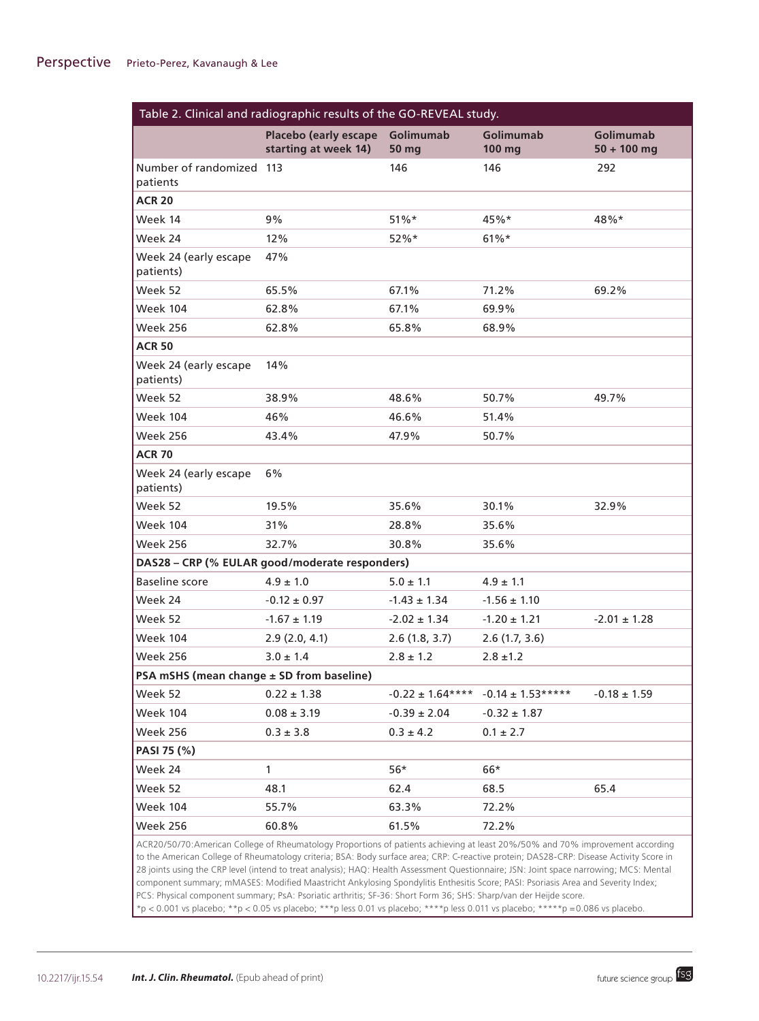| Table 2. Clinical and radiographic results of the GO-REVEAL study.                                                                                                                                                                                                                                                                                                                                                                                                                                                                                      |                                               |                           |                            |                                   |  |  |  |
|---------------------------------------------------------------------------------------------------------------------------------------------------------------------------------------------------------------------------------------------------------------------------------------------------------------------------------------------------------------------------------------------------------------------------------------------------------------------------------------------------------------------------------------------------------|-----------------------------------------------|---------------------------|----------------------------|-----------------------------------|--|--|--|
|                                                                                                                                                                                                                                                                                                                                                                                                                                                                                                                                                         | Placebo (early escape<br>starting at week 14) | Golimumab<br><b>50 mg</b> | <b>Golimumab</b><br>100 mg | <b>Golimumab</b><br>$50 + 100$ mg |  |  |  |
| Number of randomized 113<br>patients                                                                                                                                                                                                                                                                                                                                                                                                                                                                                                                    |                                               | 146                       | 146                        | 292                               |  |  |  |
| <b>ACR 20</b>                                                                                                                                                                                                                                                                                                                                                                                                                                                                                                                                           |                                               |                           |                            |                                   |  |  |  |
| Week 14                                                                                                                                                                                                                                                                                                                                                                                                                                                                                                                                                 | 9%                                            | $51\%*$                   | 45%*                       | 48%*                              |  |  |  |
| Week 24                                                                                                                                                                                                                                                                                                                                                                                                                                                                                                                                                 | 12%                                           | $52%$ *                   | $61\%*$                    |                                   |  |  |  |
| Week 24 (early escape<br>patients)                                                                                                                                                                                                                                                                                                                                                                                                                                                                                                                      | 47%                                           |                           |                            |                                   |  |  |  |
| Week 52                                                                                                                                                                                                                                                                                                                                                                                                                                                                                                                                                 | 65.5%                                         | 67.1%                     | 71.2%                      | 69.2%                             |  |  |  |
| <b>Week 104</b>                                                                                                                                                                                                                                                                                                                                                                                                                                                                                                                                         | 62.8%                                         | 67.1%                     | 69.9%                      |                                   |  |  |  |
| <b>Week 256</b>                                                                                                                                                                                                                                                                                                                                                                                                                                                                                                                                         | 62.8%                                         | 65.8%                     | 68.9%                      |                                   |  |  |  |
| <b>ACR 50</b>                                                                                                                                                                                                                                                                                                                                                                                                                                                                                                                                           |                                               |                           |                            |                                   |  |  |  |
| Week 24 (early escape<br>patients)                                                                                                                                                                                                                                                                                                                                                                                                                                                                                                                      | 14%                                           |                           |                            |                                   |  |  |  |
| Week 52                                                                                                                                                                                                                                                                                                                                                                                                                                                                                                                                                 | 38.9%                                         | 48.6%                     | 50.7%                      | 49.7%                             |  |  |  |
| <b>Week 104</b>                                                                                                                                                                                                                                                                                                                                                                                                                                                                                                                                         | 46%                                           | 46.6%                     | 51.4%                      |                                   |  |  |  |
| <b>Week 256</b>                                                                                                                                                                                                                                                                                                                                                                                                                                                                                                                                         | 43.4%                                         | 47.9%                     | 50.7%                      |                                   |  |  |  |
| <b>ACR 70</b>                                                                                                                                                                                                                                                                                                                                                                                                                                                                                                                                           |                                               |                           |                            |                                   |  |  |  |
| Week 24 (early escape<br>patients)                                                                                                                                                                                                                                                                                                                                                                                                                                                                                                                      | 6%                                            |                           |                            |                                   |  |  |  |
| Week 52                                                                                                                                                                                                                                                                                                                                                                                                                                                                                                                                                 | 19.5%                                         | 35.6%                     | 30.1%                      | 32.9%                             |  |  |  |
| <b>Week 104</b>                                                                                                                                                                                                                                                                                                                                                                                                                                                                                                                                         | 31%                                           | 28.8%                     | 35.6%                      |                                   |  |  |  |
| Week 256                                                                                                                                                                                                                                                                                                                                                                                                                                                                                                                                                | 32.7%                                         | 30.8%                     | 35.6%                      |                                   |  |  |  |
| DAS28 - CRP (% EULAR good/moderate responders)                                                                                                                                                                                                                                                                                                                                                                                                                                                                                                          |                                               |                           |                            |                                   |  |  |  |
| <b>Baseline score</b>                                                                                                                                                                                                                                                                                                                                                                                                                                                                                                                                   | $4.9 \pm 1.0$                                 | $5.0 \pm 1.1$             | $4.9 \pm 1.1$              |                                   |  |  |  |
| Week 24                                                                                                                                                                                                                                                                                                                                                                                                                                                                                                                                                 | $-0.12 \pm 0.97$                              | $-1.43 \pm 1.34$          | $-1.56 \pm 1.10$           |                                   |  |  |  |
| Week 52                                                                                                                                                                                                                                                                                                                                                                                                                                                                                                                                                 | $-1.67 \pm 1.19$                              | $-2.02 \pm 1.34$          | $-1.20 \pm 1.21$           | $-2.01 \pm 1.28$                  |  |  |  |
| <b>Week 104</b>                                                                                                                                                                                                                                                                                                                                                                                                                                                                                                                                         | 2.9(2.0, 4.1)                                 | 2.6(1.8, 3.7)             | 2.6(1.7, 3.6)              |                                   |  |  |  |
| <b>Week 256</b>                                                                                                                                                                                                                                                                                                                                                                                                                                                                                                                                         | $3.0 \pm 1.4$                                 | $2.8 \pm 1.2$             | $2.8 \pm 1.2$              |                                   |  |  |  |
| PSA mSHS (mean change ± SD from baseline)                                                                                                                                                                                                                                                                                                                                                                                                                                                                                                               |                                               |                           |                            |                                   |  |  |  |
| Week 52                                                                                                                                                                                                                                                                                                                                                                                                                                                                                                                                                 | $0.22 \pm 1.38$                               | $-0.22 \pm 1.64***$       | $-0.14 \pm 1.53***$        | $-0.18 \pm 1.59$                  |  |  |  |
| <b>Week 104</b>                                                                                                                                                                                                                                                                                                                                                                                                                                                                                                                                         | $0.08 \pm 3.19$                               | $-0.39 \pm 2.04$          | $-0.32 \pm 1.87$           |                                   |  |  |  |
| <b>Week 256</b>                                                                                                                                                                                                                                                                                                                                                                                                                                                                                                                                         | $0.3 \pm 3.8$                                 | $0.3 \pm 4.2$             | $0.1 \pm 2.7$              |                                   |  |  |  |
| PASI 75 (%)                                                                                                                                                                                                                                                                                                                                                                                                                                                                                                                                             |                                               |                           |                            |                                   |  |  |  |
| Week 24                                                                                                                                                                                                                                                                                                                                                                                                                                                                                                                                                 | $\mathbf{1}$                                  | $56*$                     | 66*                        |                                   |  |  |  |
| Week 52                                                                                                                                                                                                                                                                                                                                                                                                                                                                                                                                                 | 48.1                                          | 62.4                      | 68.5                       | 65.4                              |  |  |  |
| <b>Week 104</b>                                                                                                                                                                                                                                                                                                                                                                                                                                                                                                                                         | 55.7%                                         | 63.3%                     | 72.2%                      |                                   |  |  |  |
| <b>Week 256</b>                                                                                                                                                                                                                                                                                                                                                                                                                                                                                                                                         | 60.8%                                         | 61.5%                     | 72.2%                      |                                   |  |  |  |
| ACR20/50/70:American College of Rheumatology Proportions of patients achieving at least 20%/50% and 70% improvement according<br>to the American College of Rheumatology criteria; BSA: Body surface area; CRP: C-reactive protein; DAS28-CRP: Disease Activity Score in<br>28 joints using the CRP level (intend to treat analysis); HAQ: Health Assessment Questionnaire; JSN: Joint space narrowing; MCS: Mental<br>component summary; mMASES: Modified Maastricht Ankylosing Spondylitis Enthesitis Score; PASI: Psoriasis Area and Severity Index; |                                               |                           |                            |                                   |  |  |  |

PCS: Physical component summary; PsA: Psoriatic arthritis; SF-36: Short Form 36; SHS: Sharp/van der Heijde score.

\*p < 0.001 vs placebo; \*\*p < 0.05 vs placebo; \*\*\*p less 0.01 vs placebo; \*\*\*\*p less 0.011 vs placebo; \*\*\*\*\*p =0.086 vs placebo.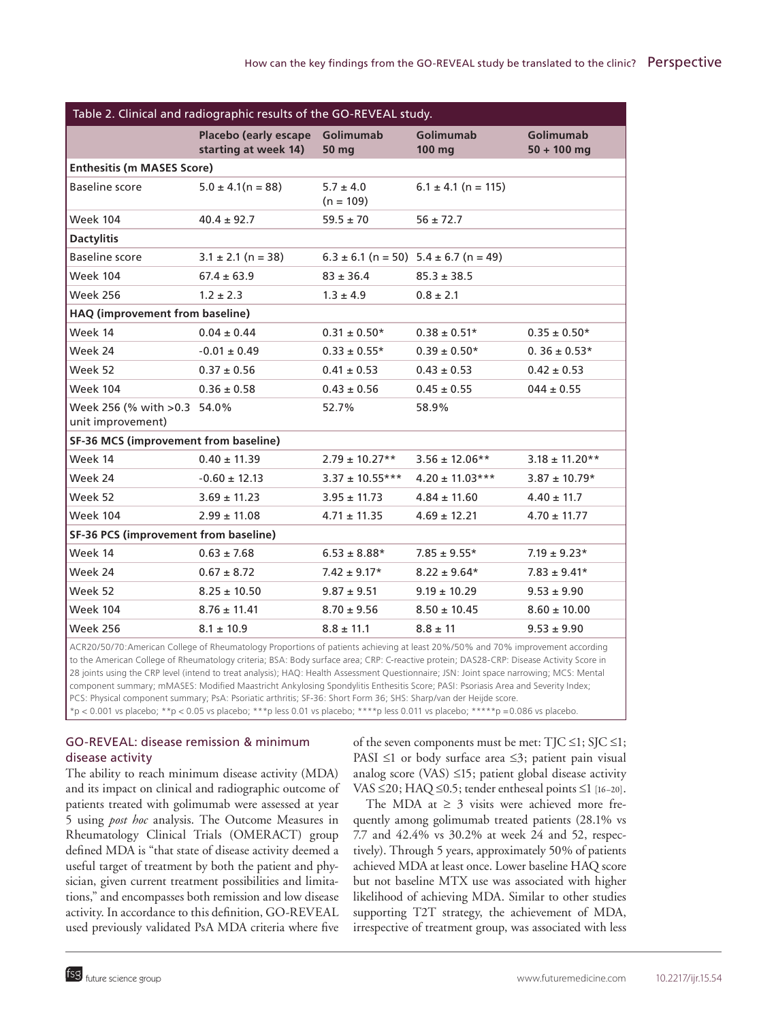| Table 2. Clinical and radiographic results of the GO-REVEAL study.                                                            |                                                         |                              |                                               |                                   |  |  |  |
|-------------------------------------------------------------------------------------------------------------------------------|---------------------------------------------------------|------------------------------|-----------------------------------------------|-----------------------------------|--|--|--|
|                                                                                                                               | Placebo (early escape Golimumab<br>starting at week 14) | 50 mg                        | <b>Golimumab</b><br>100 mg                    | <b>Golimumab</b><br>$50 + 100$ mg |  |  |  |
| <b>Enthesitis (m MASES Score)</b>                                                                                             |                                                         |                              |                                               |                                   |  |  |  |
| <b>Baseline score</b>                                                                                                         | $5.0 \pm 4.1(n = 88)$                                   | $5.7 \pm 4.0$<br>$(n = 109)$ | $6.1 \pm 4.1$ (n = 115)                       |                                   |  |  |  |
| <b>Week 104</b>                                                                                                               | $40.4 \pm 92.7$                                         | $59.5 \pm 70$                | $56 \pm 72.7$                                 |                                   |  |  |  |
| <b>Dactylitis</b>                                                                                                             |                                                         |                              |                                               |                                   |  |  |  |
| <b>Baseline score</b>                                                                                                         | $3.1 \pm 2.1$ (n = 38)                                  |                              | $6.3 \pm 6.1$ (n = 50) $5.4 \pm 6.7$ (n = 49) |                                   |  |  |  |
| <b>Week 104</b>                                                                                                               | $67.4 \pm 63.9$                                         | $83 \pm 36.4$                | $85.3 \pm 38.5$                               |                                   |  |  |  |
| Week 256                                                                                                                      | $1.2 \pm 2.3$                                           | $1.3 \pm 4.9$                | $0.8 \pm 2.1$                                 |                                   |  |  |  |
| HAQ (improvement from baseline)                                                                                               |                                                         |                              |                                               |                                   |  |  |  |
| Week 14                                                                                                                       | $0.04 \pm 0.44$                                         | $0.31 \pm 0.50*$             | $0.38 \pm 0.51*$                              | $0.35 \pm 0.50*$                  |  |  |  |
| Week 24                                                                                                                       | $-0.01 \pm 0.49$                                        | $0.33 \pm 0.55*$             | $0.39 \pm 0.50*$                              | $0.36 \pm 0.53*$                  |  |  |  |
| Week 52                                                                                                                       | $0.37 \pm 0.56$                                         | $0.41 \pm 0.53$              | $0.43 \pm 0.53$                               | $0.42 \pm 0.53$                   |  |  |  |
| <b>Week 104</b>                                                                                                               | $0.36 \pm 0.58$                                         | $0.43 \pm 0.56$              | $0.45 \pm 0.55$                               | $044 \pm 0.55$                    |  |  |  |
| Week 256 (% with > 0.3 54.0%)<br>unit improvement)                                                                            |                                                         | 52.7%                        | 58.9%                                         |                                   |  |  |  |
| SF-36 MCS (improvement from baseline)                                                                                         |                                                         |                              |                                               |                                   |  |  |  |
| Week 14                                                                                                                       | $0.40 \pm 11.39$                                        | $2.79 \pm 10.27**$           | $3.56 \pm 12.06**$                            | $3.18 \pm 11.20**$                |  |  |  |
| Week 24                                                                                                                       | $-0.60 \pm 12.13$                                       | $3.37 \pm 10.55***$          | $4.20 \pm 11.03***$                           | $3.87 \pm 10.79*$                 |  |  |  |
| Week 52                                                                                                                       | $3.69 \pm 11.23$                                        | $3.95 \pm 11.73$             | $4.84 \pm 11.60$                              | $4.40 \pm 11.7$                   |  |  |  |
| <b>Week 104</b>                                                                                                               | $2.99 \pm 11.08$                                        | $4.71 \pm 11.35$             | $4.69 \pm 12.21$                              | $4.70 \pm 11.77$                  |  |  |  |
| SF-36 PCS (improvement from baseline)                                                                                         |                                                         |                              |                                               |                                   |  |  |  |
| Week 14                                                                                                                       | $0.63 \pm 7.68$                                         | $6.53 \pm 8.88*$             | $7.85 \pm 9.55*$                              | $7.19 \pm 9.23*$                  |  |  |  |
| Week 24                                                                                                                       | $0.67 \pm 8.72$                                         | $7.42 \pm 9.17*$             | $8.22 \pm 9.64*$                              | $7.83 \pm 9.41*$                  |  |  |  |
| Week 52                                                                                                                       | $8.25 \pm 10.50$                                        | $9.87 \pm 9.51$              | $9.19 \pm 10.29$                              | $9.53 \pm 9.90$                   |  |  |  |
| <b>Week 104</b>                                                                                                               | $8.76 \pm 11.41$                                        | $8.70 \pm 9.56$              | $8.50 \pm 10.45$                              | $8.60 \pm 10.00$                  |  |  |  |
| <b>Week 256</b>                                                                                                               | $8.1 \pm 10.9$                                          | $8.8 \pm 11.1$               | $8.8 \pm 11$                                  | $9.53 \pm 9.90$                   |  |  |  |
| ACR20/50/70:American College of Rheumatology Proportions of patients achieving at least 20%/50% and 70% improvement according |                                                         |                              |                                               |                                   |  |  |  |

to the American College of Rheumatology criteria; BSA: Body surface area; CRP: C-reactive protein; DAS28-CRP: Disease Activity Score in 28 joints using the CRP level (intend to treat analysis); HAQ: Health Assessment Questionnaire; JSN: Joint space narrowing; MCS: Mental component summary; mMASES: Modified Maastricht Ankylosing Spondylitis Enthesitis Score; PASI: Psoriasis Area and Severity Index; PCS: Physical component summary; PsA: Psoriatic arthritis; SF-36: Short Form 36; SHS: Sharp/van der Heijde score. \*p < 0.001 vs placebo; \*\*p < 0.05 vs placebo; \*\*\*p less 0.01 vs placebo; \*\*\*\*p less 0.011 vs placebo; \*\*\*\*\*p =0.086 vs placebo.

## GO-REVEAL: disease remission & minimum disease activity

The ability to reach minimum disease activity (MDA) and its impact on clinical and radiographic outcome of patients treated with golimumab were assessed at year 5 using *post hoc* analysis. The Outcome Measures in Rheumatology Clinical Trials (OMERACT) group defined MDA is "that state of disease activity deemed a useful target of treatment by both the patient and physician, given current treatment possibilities and limitations," and encompasses both remission and low disease activity. In accordance to this definition, GO-REVEAL used previously validated PsA MDA criteria where five

of the seven components must be met:  $T$ JC  $\leq$ 1; SJC  $\leq$ 1; PASI ≤1 or body surface area ≤3; patient pain visual analog score (VAS) ≤15; patient global disease activity VAS ≤20; HAQ ≤0.5; tender entheseal points ≤1 [16-20].

The MDA at  $\geq$  3 visits were achieved more frequently among golimumab treated patients (28.1% vs 7.7 and 42.4% vs 30.2% at week 24 and 52, respectively). Through 5 years, approximately 50% of patients achieved MDA at least once. Lower baseline HAQ score but not baseline MTX use was associated with higher likelihood of achieving MDA. Similar to other studies supporting T2T strategy, the achievement of MDA, irrespective of treatment group, was associated with less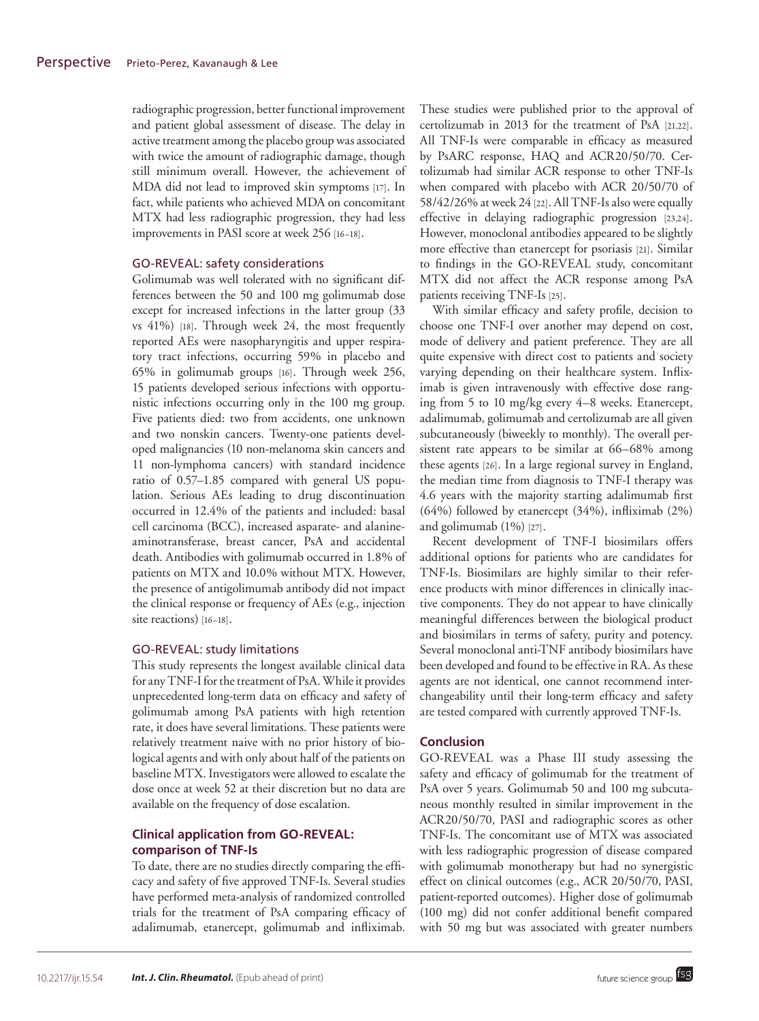radiographic progression, better functional improvement and patient global assessment of disease. The delay in active treatment among the placebo group was associated with twice the amount of radiographic damage, though still minimum overall. However, the achievement of MDA did not lead to improved skin symptoms [17]. In fact, while patients who achieved MDA on concomitant MTX had less radiographic progression, they had less improvements in PASI score at week 256 [16–18].

### GO-REVEAL: safety considerations

Golimumab was well tolerated with no significant differences between the 50 and 100 mg golimumab dose except for increased infections in the latter group (33 vs 41%) [18]. Through week 24, the most frequently reported AEs were nasopharyngitis and upper respiratory tract infections, occurring 59% in placebo and 65% in golimumab groups [16]. Through week 256, 15 patients developed serious infections with opportunistic infections occurring only in the 100 mg group. Five patients died: two from accidents, one unknown and two nonskin cancers. Twenty-one patients developed malignancies (10 non-melanoma skin cancers and 11 non-lymphoma cancers) with standard incidence ratio of 0.57–1.85 compared with general US population. Serious AEs leading to drug discontinuation occurred in 12.4% of the patients and included: basal cell carcinoma (BCC), increased asparate- and alanineaminotransferase, breast cancer, PsA and accidental death. Antibodies with golimumab occurred in 1.8% of patients on MTX and 10.0% without MTX. However, the presence of antigolimumab antibody did not impact the clinical response or frequency of AEs (e.g., injection site reactions) [16–18].

### GO-REVEAL: study limitations

This study represents the longest available clinical data for any TNF-I for the treatment of PsA. While it provides unprecedented long-term data on efficacy and safety of golimumab among PsA patients with high retention rate, it does have several limitations. These patients were relatively treatment naive with no prior history of biological agents and with only about half of the patients on baseline MTX. Investigators were allowed to escalate the dose once at week 52 at their discretion but no data are available on the frequency of dose escalation.

## **Clinical application from GO-REVEAL: comparison of TNF-Is**

To date, there are no studies directly comparing the efficacy and safety of five approved TNF-Is. Several studies have performed meta-analysis of randomized controlled trials for the treatment of PsA comparing efficacy of adalimumab, etanercept, golimumab and infliximab.

These studies were published prior to the approval of certolizumab in 2013 for the treatment of PsA [21,22]. All TNF-Is were comparable in efficacy as measured by PsARC response, HAQ and ACR20/50/70. Certolizumab had similar ACR response to other TNF-Is when compared with placebo with ACR 20/50/70 of 58/42/26% at week 24 [22]. All TNF-Is also were equally effective in delaying radiographic progression [23,24]. However, monoclonal antibodies appeared to be slightly more effective than etanercept for psoriasis [21]. Similar to findings in the GO-REVEAL study, concomitant MTX did not affect the ACR response among PsA patients receiving TNF-Is [25].

With similar efficacy and safety profile, decision to choose one TNF-I over another may depend on cost, mode of delivery and patient preference. They are all quite expensive with direct cost to patients and society varying depending on their healthcare system. Infliximab is given intravenously with effective dose ranging from 5 to 10 mg/kg every 4–8 weeks. Etanercept, adalimumab, golimumab and certolizumab are all given subcutaneously (biweekly to monthly). The overall persistent rate appears to be similar at 66–68% among these agents [26]. In a large regional survey in England, the median time from diagnosis to TNF-I therapy was 4.6 years with the majority starting adalimumab first (64%) followed by etanercept (34%), infliximab (2%) and golimumab (1%) [27].

Recent development of TNF-I biosimilars offers additional options for patients who are candidates for TNF-Is. Biosimilars are highly similar to their reference products with minor differences in clinically inactive components. They do not appear to have clinically meaningful differences between the biological product and biosimilars in terms of safety, purity and potency. Several monoclonal anti-TNF antibody biosimilars have been developed and found to be effective in RA. As these agents are not identical, one cannot recommend interchangeability until their long-term efficacy and safety are tested compared with currently approved TNF-Is.

## **Conclusion**

GO-REVEAL was a Phase III study assessing the safety and efficacy of golimumab for the treatment of PsA over 5 years. Golimumab 50 and 100 mg subcutaneous monthly resulted in similar improvement in the ACR20/50/70, PASI and radiographic scores as other TNF-Is. The concomitant use of MTX was associated with less radiographic progression of disease compared with golimumab monotherapy but had no synergistic effect on clinical outcomes (e.g., ACR 20/50/70, PASI, patient-reported outcomes). Higher dose of golimumab (100 mg) did not confer additional benefit compared with 50 mg but was associated with greater numbers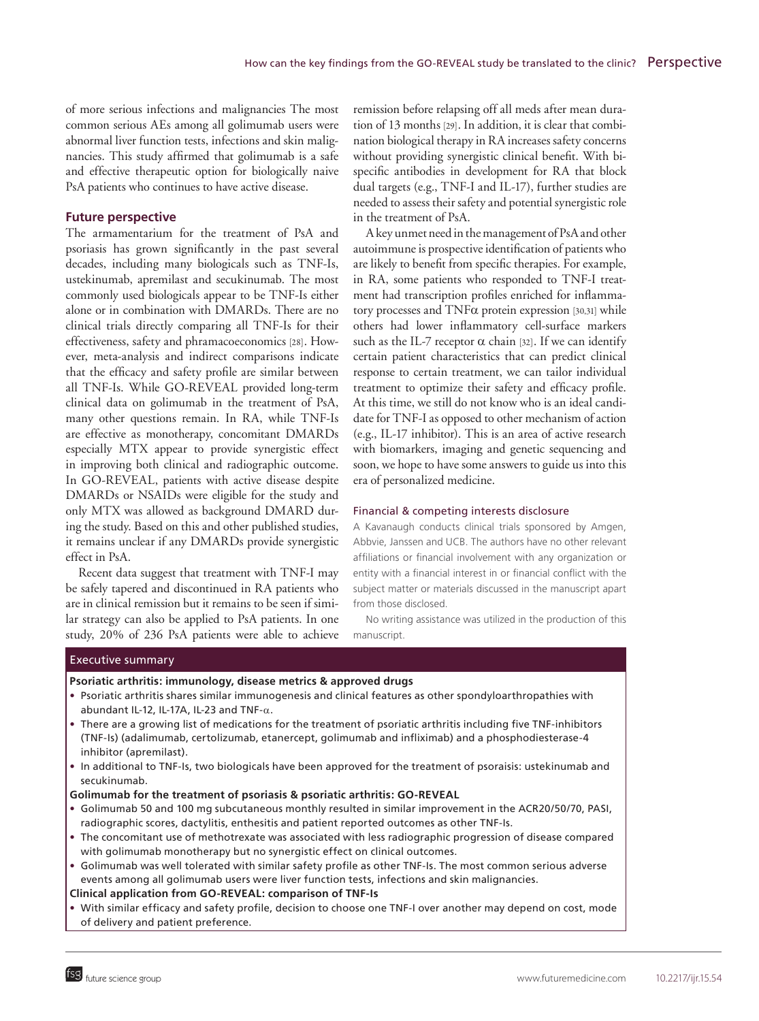of more serious infections and malignancies The most common serious AEs among all golimumab users were abnormal liver function tests, infections and skin malignancies. This study affirmed that golimumab is a safe and effective therapeutic option for biologically naive PsA patients who continues to have active disease.

## **Future perspective**

The armamentarium for the treatment of PsA and psoriasis has grown significantly in the past several decades, including many biologicals such as TNF-Is, ustekinumab, apremilast and secukinumab. The most commonly used biologicals appear to be TNF-Is either alone or in combination with DMARDs. There are no clinical trials directly comparing all TNF-Is for their effectiveness, safety and phramacoeconomics [28]. However, meta-analysis and indirect comparisons indicate that the efficacy and safety profile are similar between all TNF-Is. While GO-REVEAL provided long-term clinical data on golimumab in the treatment of PsA, many other questions remain. In RA, while TNF-Is are effective as monotherapy, concomitant DMARDs especially MTX appear to provide synergistic effect in improving both clinical and radiographic outcome. In GO-REVEAL, patients with active disease despite DMARDs or NSAIDs were eligible for the study and only MTX was allowed as background DMARD during the study. Based on this and other published studies, it remains unclear if any DMARDs provide synergistic effect in PsA.

Recent data suggest that treatment with TNF-I may be safely tapered and discontinued in RA patients who are in clinical remission but it remains to be seen if similar strategy can also be applied to PsA patients. In one study, 20% of 236 PsA patients were able to achieve

remission before relapsing off all meds after mean duration of 13 months [29]. In addition, it is clear that combination biological therapy in RA increases safety concerns without providing synergistic clinical benefit. With bispecific antibodies in development for RA that block dual targets (e.g., TNF-I and IL-17), further studies are needed to assess their safety and potential synergistic role in the treatment of PsA.

A key unmet need in the management of PsA and other autoimmune is prospective identification of patients who are likely to benefit from specific therapies. For example, in RA, some patients who responded to TNF-I treatment had transcription profiles enriched for inflammatory processes and TNFα protein expression [30,31] while others had lower inflammatory cell-surface markers such as the IL-7 receptor  $\alpha$  chain [32]. If we can identify certain patient characteristics that can predict clinical response to certain treatment, we can tailor individual treatment to optimize their safety and efficacy profile. At this time, we still do not know who is an ideal candidate for TNF-I as opposed to other mechanism of action (e.g., IL-17 inhibitor). This is an area of active research with biomarkers, imaging and genetic sequencing and soon, we hope to have some answers to guide us into this era of personalized medicine.

#### Financial & competing interests disclosure

A Kavanaugh conducts clinical trials sponsored by Amgen, Abbvie, Janssen and UCB. The authors have no other relevant affiliations or financial involvement with any organization or entity with a financial interest in or financial conflict with the subject matter or materials discussed in the manuscript apart from those disclosed.

No writing assistance was utilized in the production of this manuscript.

#### Executive summary

#### **Psoriatic arthritis: immunology, disease metrics & approved drugs**

- • Psoriatic arthritis shares similar immunogenesis and clinical features as other spondyloarthropathies with abundant IL-12, IL-17A, IL-23 and TNF-α.
- • There are a growing list of medications for the treatment of psoriatic arthritis including five TNF-inhibitors (TNF-Is) (adalimumab, certolizumab, etanercept, golimumab and infliximab) and a phosphodiesterase-4 inhibitor (apremilast).
- • In additional to TNF-Is, two biologicals have been approved for the treatment of psoraisis: ustekinumab and secukinumab.

### **Golimumab for the treatment of psoriasis & psoriatic arthritis: GO-REVEAL**

- • Golimumab 50 and 100 mg subcutaneous monthly resulted in similar improvement in the ACR20/50/70, PASI, radiographic scores, dactylitis, enthesitis and patient reported outcomes as other TNF-Is.
- • The concomitant use of methotrexate was associated with less radiographic progression of disease compared with golimumab monotherapy but no synergistic effect on clinical outcomes.
- • Golimumab was well tolerated with similar safety profile as other TNF-Is. The most common serious adverse events among all golimumab users were liver function tests, infections and skin malignancies.

## **Clinical application from GO-REVEAL: comparison of TNF-Is**

• With similar efficacy and safety profile, decision to choose one TNF-I over another may depend on cost, mode of delivery and patient preference.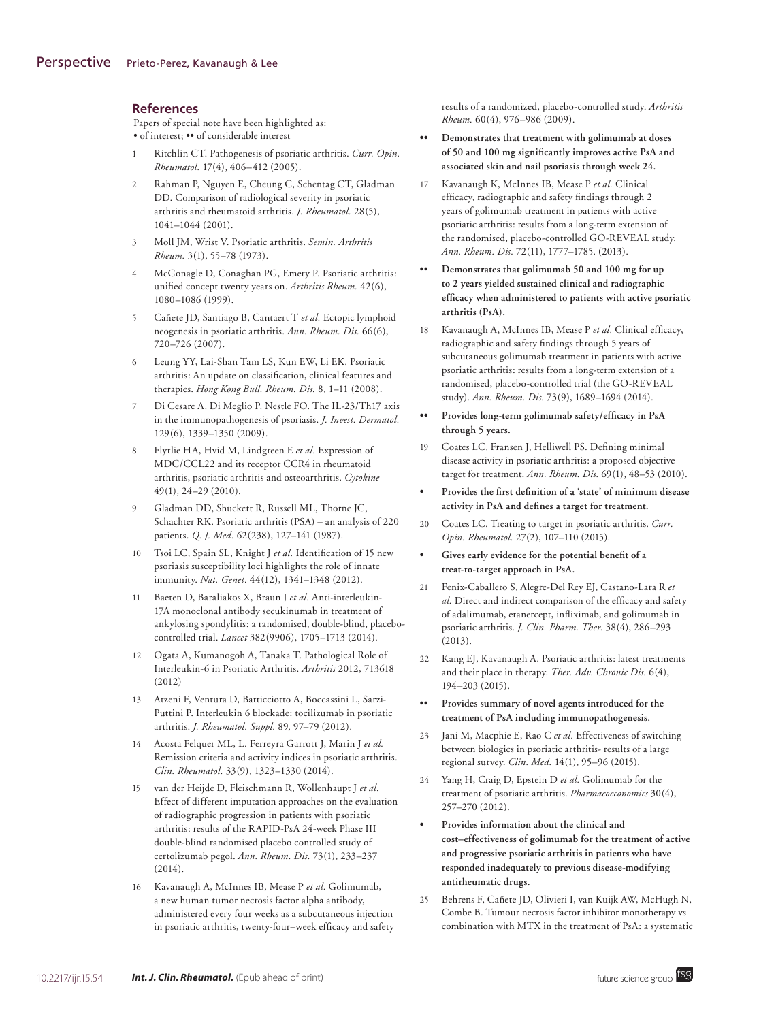## **References**

Papers of special note have been highlighted as: • of interest; •• of considerable interest

- 1 Ritchlin CT. Pathogenesis of psoriatic arthritis. *Curr. Opin. Rheumatol.* 17(4), 406–412 (2005).
- 2 Rahman P, Nguyen E, Cheung C, Schentag CT, Gladman DD. Comparison of radiological severity in psoriatic arthritis and rheumatoid arthritis. *J. Rheumatol.* 28(5), 1041–1044 (2001).
- 3 Moll JM, Wrist V. Psoriatic arthritis. *Semin. Arthritis Rheum.* 3(1), 55–78 (1973).
- 4 McGonagle D, Conaghan PG, Emery P. Psoriatic arthritis: unified concept twenty years on. *Arthritis Rheum.* 42(6), 1080–1086 (1999).
- 5 Cañete JD, Santiago B, Cantaert T *et al.* Ectopic lymphoid neogenesis in psoriatic arthritis. *Ann. Rheum. Dis.* 66(6), 720–726 (2007).
- 6 Leung YY, Lai-Shan Tam LS, Kun EW, Li EK. Psoriatic arthritis: An update on classification, clinical features and therapies. *Hong Kong Bull. Rheum. Dis.* 8, 1–11 (2008).
- 7 Di Cesare A, Di Meglio P, Nestle FO. The IL-23/Th17 axis in the immunopathogenesis of psoriasis. *J. Invest. Dermatol.* 129(6), 1339–1350 (2009).
- 8 Flytlie HA, Hvid M, Lindgreen E *et al.* Expression of MDC/CCL22 and its receptor CCR4 in rheumatoid arthritis, psoriatic arthritis and osteoarthritis. *Cytokine* 49(1), 24–29 (2010).
- 9 Gladman DD, Shuckett R, Russell ML, Thorne JC, Schachter RK. Psoriatic arthritis (PSA) – an analysis of 220 patients. *Q. J. Med.* 62(238), 127–141 (1987).
- 10 Tsoi LC, Spain SL, Knight J *et al.* Identification of 15 new psoriasis susceptibility loci highlights the role of innate immunity. *Nat. Genet.* 44(12), 1341–1348 (2012).
- 11 Baeten D, Baraliakos X, Braun J *et al.* Anti-interleukin-17A monoclonal antibody secukinumab in treatment of ankylosing spondylitis: a randomised, double-blind, placebocontrolled trial. *Lancet* 382(9906), 1705–1713 (2014).
- 12 Ogata A, Kumanogoh A, Tanaka T. Pathological Role of Interleukin-6 in Psoriatic Arthritis. *Arthritis* 2012, 713618 (2012)
- 13 Atzeni F, Ventura D, Batticciotto A, Boccassini L, Sarzi-Puttini P. Interleukin 6 blockade: tocilizumab in psoriatic arthritis. *J. Rheumatol. Suppl.* 89, 97–79 (2012).
- 14 Acosta Felquer ML, L. Ferreyra Garrott J, Marin J *et al.* Remission criteria and activity indices in psoriatic arthritis. *Clin. Rheumatol.* 33(9), 1323–1330 (2014).
- 15 van der Heijde D, Fleischmann R, Wollenhaupt J *et al.* Effect of different imputation approaches on the evaluation of radiographic progression in patients with psoriatic arthritis: results of the RAPID-PsA 24-week Phase III double-blind randomised placebo controlled study of certolizumab pegol. *Ann. Rheum. Dis.* 73(1), 233–237 (2014).
- 16 Kavanaugh A, McInnes IB, Mease P *et al.* Golimumab, a new human tumor necrosis factor alpha antibody, administered every four weeks as a subcutaneous injection in psoriatic arthritis, twenty-four–week efficacy and safety

results of a randomized, placebo-controlled study. *Arthritis Rheum.* 60(4), 976–986 (2009).

- **•• Demonstrates that treatment with golimumab at doses of 50 and 100 mg significantly improves active PsA and associated skin and nail psoriasis through week 24.**
- 17 Kavanaugh K, McInnes IB, Mease P *et al.* Clinical efficacy, radiographic and safety findings through 2 years of golimumab treatment in patients with active psoriatic arthritis: results from a long-term extension of the randomised, placebo-controlled GO-REVEAL study. *Ann. Rheum. Dis.* 72(11), 1777–1785. (2013).
- **•• Demonstrates that golimumab 50 and 100 mg for up to 2 years yielded sustained clinical and radiographic efficacy when administered to patients with active psoriatic arthritis (PsA).**
- 18 Kavanaugh A, McInnes IB, Mease P *et al.* Clinical efficacy, radiographic and safety findings through 5 years of subcutaneous golimumab treatment in patients with active psoriatic arthritis: results from a long-term extension of a randomised, placebo-controlled trial (the GO-REVEAL study). *Ann. Rheum. Dis.* 73(9), 1689–1694 (2014).
- **•• Provides long-term golimumab safety/efficacy in PsA through 5 years.**
- 19 Coates LC, Fransen J, Helliwell PS. Defining minimal disease activity in psoriatic arthritis: a proposed objective target for treatment. *Ann. Rheum. Dis.* 69(1), 48–53 (2010).
- **• Provides the first definition of a 'state' of minimum disease activity in PsA and defines a target for treatment.**
- 20 Coates LC. Treating to target in psoriatic arthritis. *Curr. Opin. Rheumatol.* 27(2), 107–110 (2015).
- **• Gives early evidence for the potential benefit of a treat-to-target approach in PsA.**
- 21 Fenix-Caballero S, Alegre-Del Rey EJ, Castano-Lara R *et al.* Direct and indirect comparison of the efficacy and safety of adalimumab, etanercept, infliximab, and golimumab in psoriatic arthritis. *J. Clin. Pharm. Ther.* 38(4), 286–293 (2013).
- 22 Kang EJ, Kavanaugh A. Psoriatic arthritis: latest treatments and their place in therapy. *Ther. Adv. Chronic Dis.* 6(4), 194–203 (2015).
- **•• Provides summary of novel agents introduced for the treatment of PsA including immunopathogenesis.**
- 23 Jani M, Macphie E, Rao C *et al.* Effectiveness of switching between biologics in psoriatic arthritis- results of a large regional survey. *Clin. Med.* 14(1), 95–96 (2015).
- 24 Yang H, Craig D, Epstein D *et al.* Golimumab for the treatment of psoriatic arthritis. *Pharmacoeconomics* 30(4), 257–270 (2012).
- **• Provides information about the clinical and cost–effectiveness of golimumab for the treatment of active and progressive psoriatic arthritis in patients who have responded inadequately to previous disease-modifying antirheumatic drugs.**
- 25 Behrens F, Cañete JD, Olivieri I, van Kuijk AW, McHugh N, Combe B. Tumour necrosis factor inhibitor monotherapy vs combination with MTX in the treatment of PsA: a systematic